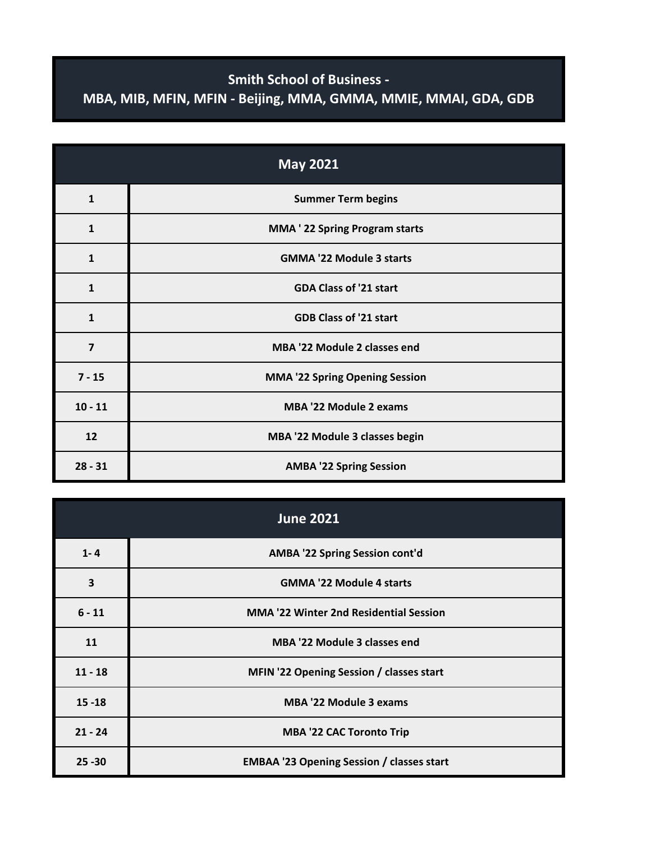## **Smith School of Business - MBA, MIB, MFIN, MFIN - Beijing, MMA, GMMA, MMIE, MMAI, GDA, GDB**

| <b>May 2021</b>         |                                       |
|-------------------------|---------------------------------------|
| $\mathbf{1}$            | <b>Summer Term begins</b>             |
| $\mathbf{1}$            | <b>MMA</b> ' 22 Spring Program starts |
| $\mathbf{1}$            | <b>GMMA '22 Module 3 starts</b>       |
| $\mathbf{1}$            | <b>GDA Class of '21 start</b>         |
| $\mathbf{1}$            | <b>GDB Class of '21 start</b>         |
| $\overline{\mathbf{z}}$ | <b>MBA '22 Module 2 classes end</b>   |
| $7 - 15$                | <b>MMA '22 Spring Opening Session</b> |
| $10 - 11$               | <b>MBA '22 Module 2 exams</b>         |
| 12                      | MBA '22 Module 3 classes begin        |
| $28 - 31$               | <b>AMBA '22 Spring Session</b>        |

| <b>June 2021</b> |                                                  |
|------------------|--------------------------------------------------|
| $1 - 4$          | AMBA '22 Spring Session cont'd                   |
| 3                | <b>GMMA '22 Module 4 starts</b>                  |
| $6 - 11$         | <b>MMA '22 Winter 2nd Residential Session</b>    |
| 11               | MBA '22 Module 3 classes end                     |
| $11 - 18$        | MFIN '22 Opening Session / classes start         |
| $15 - 18$        | <b>MBA '22 Module 3 exams</b>                    |
| $21 - 24$        | <b>MBA '22 CAC Toronto Trip</b>                  |
| $25 - 30$        | <b>EMBAA '23 Opening Session / classes start</b> |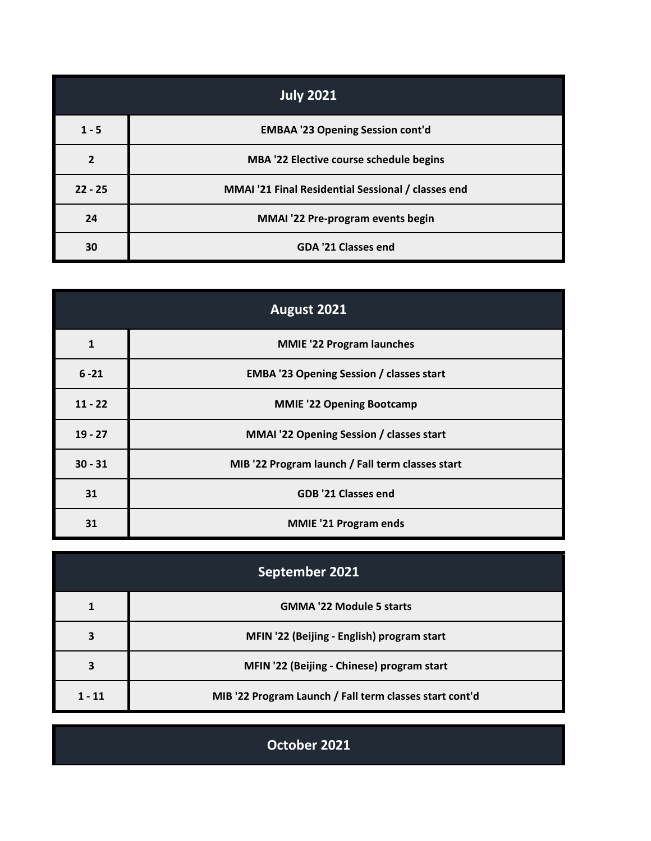| <b>July 2021</b> |                                                    |
|------------------|----------------------------------------------------|
| $1 - 5$          | <b>EMBAA '23 Opening Session cont'd</b>            |
| $\overline{2}$   | MBA '22 Elective course schedule begins            |
| $22 - 25$        | MMAI '21 Final Residential Sessional / classes end |
| 24               | MMAI '22 Pre-program events begin                  |
| 30               | GDA '21 Classes end                                |

| August 2021 |                                                  |
|-------------|--------------------------------------------------|
| 1           | <b>MMIE</b> '22 Program launches                 |
| $6 - 21$    | <b>EMBA '23 Opening Session / classes start</b>  |
| $11 - 22$   | <b>MMIE '22 Opening Bootcamp</b>                 |
| $19 - 27$   | <b>MMAI '22 Opening Session / classes start</b>  |
| $30 - 31$   | MIB '22 Program launch / Fall term classes start |
| 31          | <b>GDB '21 Classes end</b>                       |
| 31          | <b>MMIE '21 Program ends</b>                     |

| September 2021 |                                                         |
|----------------|---------------------------------------------------------|
|                | <b>GMMA '22 Module 5 starts</b>                         |
| 3              | MFIN '22 (Beijing - English) program start              |
| 3              | MFIN '22 (Beijing - Chinese) program start              |
| $1 - 11$       | MIB '22 Program Launch / Fall term classes start cont'd |

**October 2021**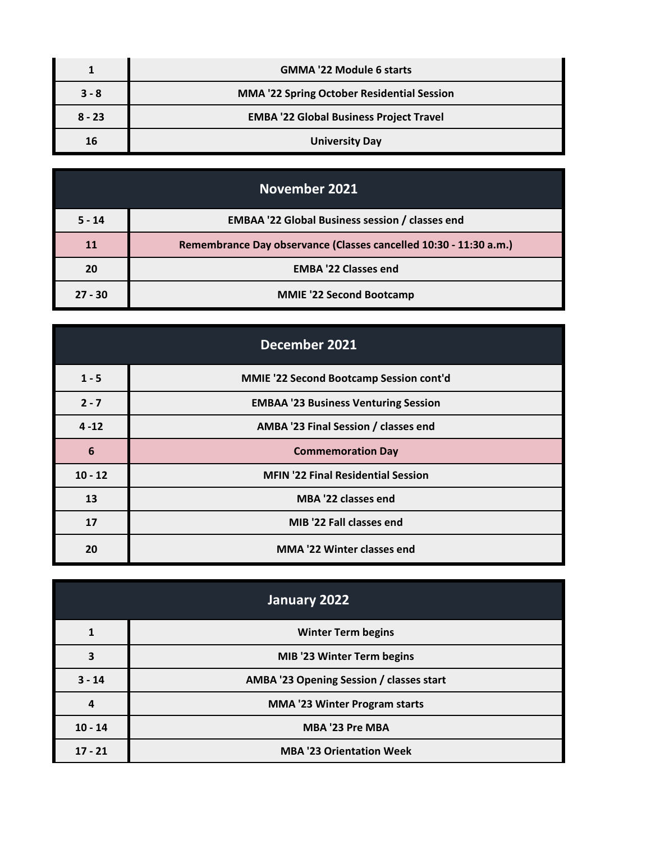|          | <b>GMMA '22 Module 6 starts</b>                   |
|----------|---------------------------------------------------|
| $3 - 8$  | <b>MMA '22 Spring October Residential Session</b> |
| $8 - 23$ | <b>EMBA '22 Global Business Project Travel</b>    |
| 16       | <b>University Day</b>                             |

| <b>November 2021</b> |                                                                   |
|----------------------|-------------------------------------------------------------------|
| $5 - 14$             | <b>EMBAA '22 Global Business session / classes end</b>            |
| <b>11</b>            | Remembrance Day observance (Classes cancelled 10:30 - 11:30 a.m.) |
| 20                   | <b>EMBA '22 Classes end</b>                                       |
| $27 - 30$            | <b>MMIE '22 Second Bootcamp</b>                                   |

| December 2021 |                                                |
|---------------|------------------------------------------------|
| $1 - 5$       | <b>MMIE '22 Second Bootcamp Session cont'd</b> |
| $2 - 7$       | <b>EMBAA '23 Business Venturing Session</b>    |
| $4 - 12$      | AMBA '23 Final Session / classes end           |
| 6             | <b>Commemoration Day</b>                       |
| $10 - 12$     | <b>MFIN '22 Final Residential Session</b>      |
| 13            | MBA '22 classes end                            |
| 17            | MIB '22 Fall classes end                       |
| 20            | <b>MMA '22 Winter classes end</b>              |

| January 2022 |                                          |
|--------------|------------------------------------------|
|              | <b>Winter Term begins</b>                |
| 3            | MIB '23 Winter Term begins               |
| $3 - 14$     | AMBA '23 Opening Session / classes start |
| 4            | <b>MMA '23 Winter Program starts</b>     |
| $10 - 14$    | MBA '23 Pre MBA                          |
| $17 - 21$    | <b>MBA '23 Orientation Week</b>          |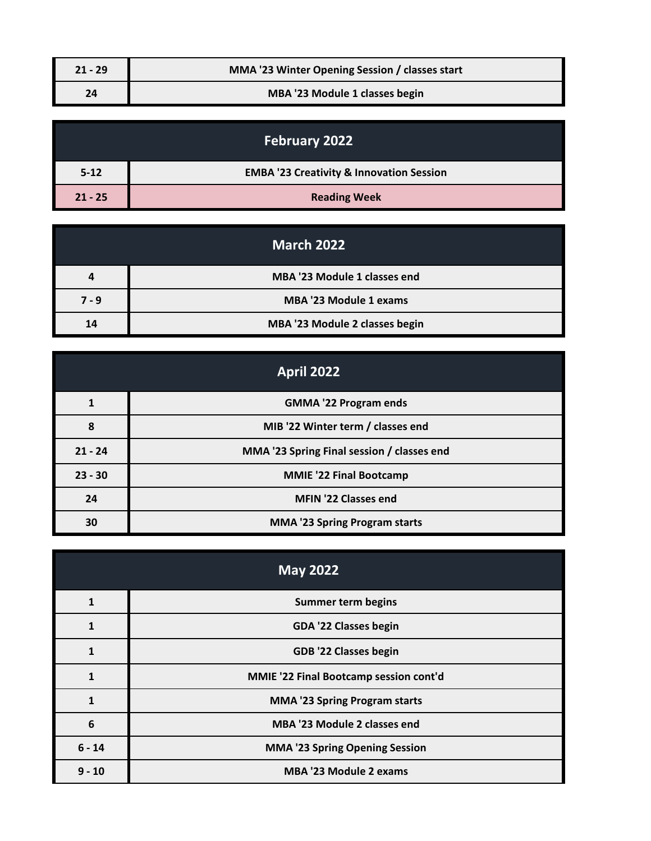| $21 - 29$ | MMA '23 Winter Opening Session / classes start |
|-----------|------------------------------------------------|
| 24        | MBA '23 Module 1 classes begin                 |

| <b>February 2022</b> |                                                     |
|----------------------|-----------------------------------------------------|
| $5 - 12$             | <b>EMBA '23 Creativity &amp; Innovation Session</b> |
| $21 - 25$            | <b>Reading Week</b>                                 |

|         | <b>March 2022</b>              |
|---------|--------------------------------|
| 4       | MBA '23 Module 1 classes end   |
| $7 - 9$ | <b>MBA '23 Module 1 exams</b>  |
| 14      | MBA '23 Module 2 classes begin |

| <b>April 2022</b> |                                            |
|-------------------|--------------------------------------------|
|                   | <b>GMMA '22 Program ends</b>               |
| 8                 | MIB '22 Winter term / classes end          |
| $21 - 24$         | MMA '23 Spring Final session / classes end |
| $23 - 30$         | <b>MMIE '22 Final Bootcamp</b>             |
| 24                | MFIN '22 Classes end                       |
| 30                | <b>MMA '23 Spring Program starts</b>       |

| <b>May 2022</b> |                                        |
|-----------------|----------------------------------------|
| 1               | <b>Summer term begins</b>              |
| 1               | GDA '22 Classes begin                  |
| 1               | <b>GDB '22 Classes begin</b>           |
| 1               | MMIE '22 Final Bootcamp session cont'd |
|                 | <b>MMA '23 Spring Program starts</b>   |
| 6               | <b>MBA '23 Module 2 classes end</b>    |
| $6 - 14$        | <b>MMA '23 Spring Opening Session</b>  |
| $9 - 10$        | MBA '23 Module 2 exams                 |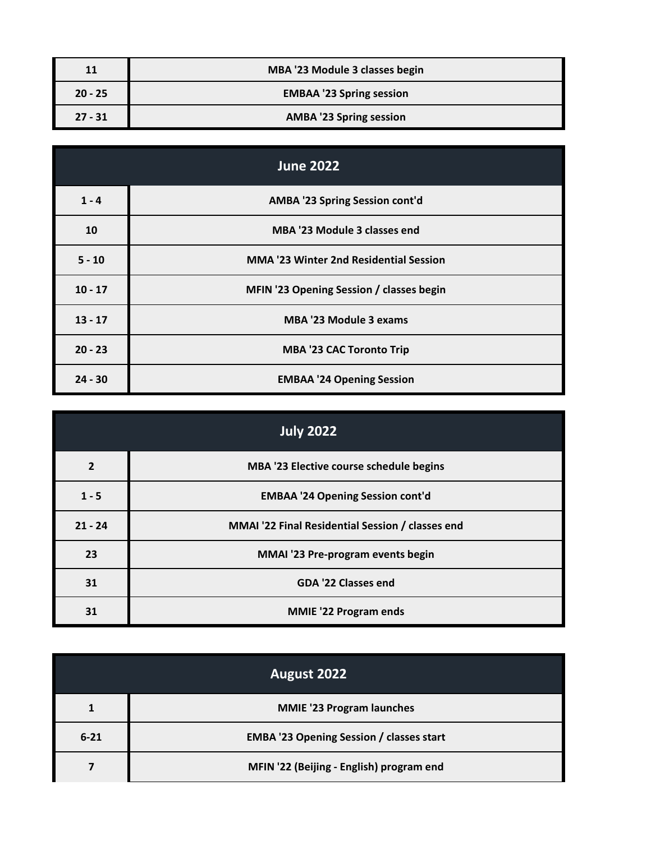| 11        | MBA '23 Module 3 classes begin  |
|-----------|---------------------------------|
| $20 - 25$ | <b>EMBAA '23 Spring session</b> |
| $27 - 31$ | <b>AMBA '23 Spring session</b>  |

| <b>June 2022</b> |                                               |
|------------------|-----------------------------------------------|
| $1 - 4$          | AMBA '23 Spring Session cont'd                |
| 10               | MBA '23 Module 3 classes end                  |
| $5 - 10$         | <b>MMA '23 Winter 2nd Residential Session</b> |
| $10 - 17$        | MFIN '23 Opening Session / classes begin      |
| $13 - 17$        | <b>MBA '23 Module 3 exams</b>                 |
| $20 - 23$        | <b>MBA '23 CAC Toronto Trip</b>               |
| $24 - 30$        | <b>EMBAA '24 Opening Session</b>              |

| <b>July 2022</b> |                                                  |
|------------------|--------------------------------------------------|
| $\overline{2}$   | MBA '23 Elective course schedule begins          |
| $1 - 5$          | <b>EMBAA '24 Opening Session cont'd</b>          |
| $21 - 24$        | MMAI '22 Final Residential Session / classes end |
| 23               | MMAI '23 Pre-program events begin                |
| 31               | <b>GDA '22 Classes end</b>                       |
| 31               | <b>MMIE '22 Program ends</b>                     |

| August 2022 |                                                 |
|-------------|-------------------------------------------------|
|             | <b>MMIE '23 Program launches</b>                |
| $6 - 21$    | <b>EMBA '23 Opening Session / classes start</b> |
|             | MFIN '22 (Beijing - English) program end        |